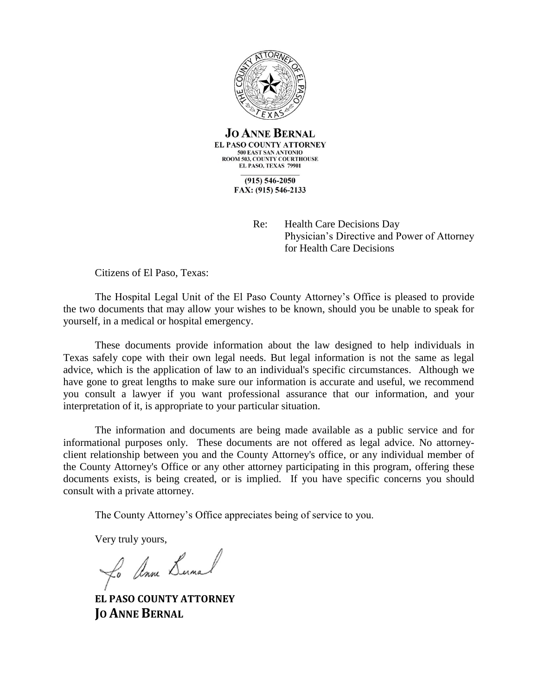

**JO ANNE BERNAL EL PASO COUNTY ATTORNEY** 500 EAST SAN ANTONIO<br>ROOM 503, COUNTY COURTHOUSE<br>EL PASO, TEXAS 79901

> $(915) 546 - 2050$ FAX: (915) 546-2133

> > Re: Health Care Decisions Day Physician's Directive and Power of Attorney for Health Care Decisions

Citizens of El Paso, Texas:

The Hospital Legal Unit of the El Paso County Attorney's Office is pleased to provide the two documents that may allow your wishes to be known, should you be unable to speak for yourself, in a medical or hospital emergency.

These documents provide information about the law designed to help individuals in Texas safely cope with their own legal needs. But legal information is not the same as legal advice, which is the application of law to an individual's specific circumstances. Although we have gone to great lengths to make sure our information is accurate and useful, we recommend you consult a lawyer if you want professional assurance that our information, and your interpretation of it, is appropriate to your particular situation.

The information and documents are being made available as a public service and for informational purposes only. These documents are not offered as legal advice. No attorneyclient relationship between you and the County Attorney's office, or any individual member of the County Attorney's Office or any other attorney participating in this program, offering these documents exists, is being created, or is implied. If you have specific concerns you should consult with a private attorney.

The County Attorney's Office appreciates being of service to you.

Very truly yours,

Lo Anne Bumal

**EL PASO COUNTY ATTORNEY JO ANNE BERNAL**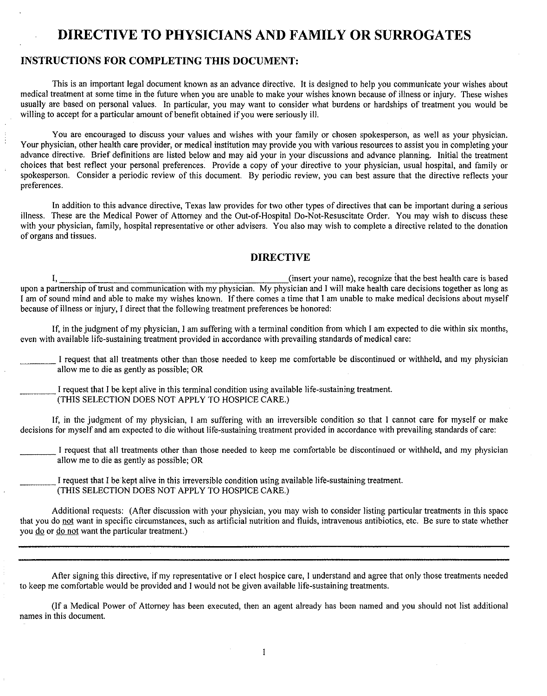# DIRECTIVE TO PHYSICIANS AND FAMILY OR SURROGATES

### **INSTRUCTIONS FOR COMPLETING THIS DOCUMENT:**

This is an important legal document known as an advance directive. It is designed to help you communicate your wishes about medical treatment at some time in the future when you are unable to make your wishes known because of illness or injury. These wishes usually are based on personal values. In particular, you may want to consider what burdens or hardships of treatment you would be willing to accept for a particular amount of benefit obtained if you were seriously ill.

You are encouraged to discuss your values and wishes with your family or chosen spokesperson, as well as your physician. Your physician, other health care provider, or medical institution may provide you with various resources to assist you in completing your advance directive. Brief definitions are listed below and may aid your in your discussions and advance planning. Initial the treatment choices that best reflect your personal preferences. Provide a copy of your directive to your physician, usual hospital, and family or spokesperson. Consider a periodic review of this document. By periodic review, you can best assure that the directive reflects your preferences.

In addition to this advance directive, Texas law provides for two other types of directives that can be important during a serious illness. These are the Medical Power of Attorney and the Out-of-Hospital Do-Not-Resuscitate Order. You may wish to discuss these with your physician, family, hospital representative or other advisers. You also may wish to complete a directive related to the donation of organs and tissues.

#### **DIRECTIVE**

I, (insert your name), recognize that the best health care is based<br>upon a partnership of trust and communication with my physician. My physician and I will make health care decisions together as long as I am of sound mind and able to make my wishes known. If there comes a time that I am unable to make medical decisions about myself because of illness or injury, I direct that the following treatment preferences be honored:

If, in the judgment of my physician, I am suffering with a terminal condition from which I am expected to die within six months, even with available life-sustaining treatment provided in accordance with prevailing standards of medical care:

I request that all treatments other than those needed to keep me comfortable be discontinued or withheld, and my physician allow me to die as gently as possible: OR

I request that I be kept alive in this terminal condition using available life-sustaining treatment. (THIS SELECTION DOES NOT APPLY TO HOSPICE CARE.)

If, in the judgment of my physician, I am suffering with an irreversible condition so that I cannot care for myself or make decisions for myself and am expected to die without life-sustaining treatment provided in accordance with prevailing standards of care:

I request that all treatments other than those needed to keep me comfortable be discontinued or withheld, and my physician allow me to die as gently as possible; OR

I request that I be kept alive in this irreversible condition using available life-sustaining treatment. (THIS SELECTION DOES NOT APPLY TO HOSPICE CARE.)

Additional requests: (After discussion with your physician, you may wish to consider listing particular treatments in this space that you do not want in specific circumstances, such as artificial nutrition and fluids, intravenous antibiotics, etc. Be sure to state whether you do or do not want the particular treatment.)

After signing this directive, if my representative or I elect hospice care, I understand and agree that only those treatments needed to keep me comfortable would be provided and I would not be given available life-sustaining treatments.

(If a Medical Power of Attorney has been executed, then an agent already has been named and you should not list additional names in this document.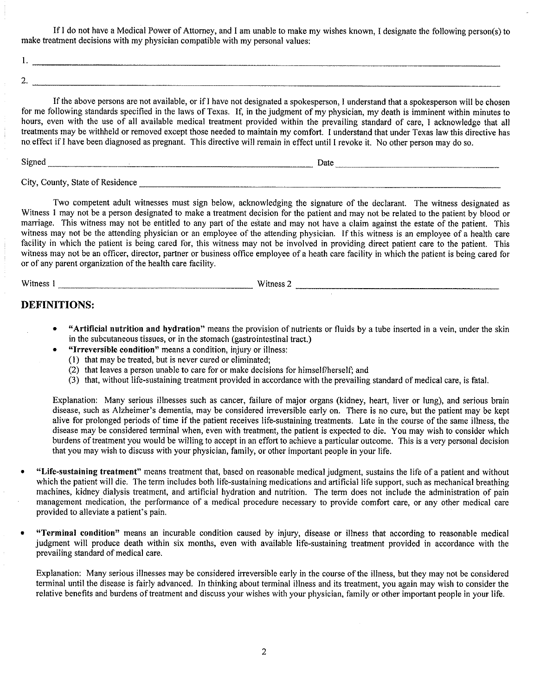If I do not have a Medical Power of Attorney, and I am unable to make my wishes known, I designate the following person(s) to make treatment decisions with my physician compatible with my personal values:

If the above persons are not available, or if I have not designated a spokesperson, I understand that a spokesperson will be chosen for me following standards specified in the laws of Texas. If, in the judgment of my physician, my death is imminent within minutes to hours, even with the use of all available medical treatment provided within the prevailing standard of care, I acknowledge that all treatments may be withheld or removed except those needed to maintain my comfort. I understand that under Texas law this directive has no effect if I have been diagnosed as pregnant. This directive will remain in effect until I revoke it. No other person may do so.

City, County, State of Residence

 $2.$ 

Two competent adult witnesses must sign below, acknowledging the signature of the declarant. The witness designated as Witness 1 may not be a person designated to make a treatment decision for the patient and may not be related to the patient by blood or marriage. This witness may not be entitled to any part of the estate and may not have a claim against the estate of the patient. This witness may not be the attending physician or an employee of the attending physician. If this witness is an employee of a health care facility in which the patient is being cared for, this witness may not be involved in providing direct patient care to the patient. This witness may not be an officer, director, partner or business office employee of a heath care facility in which the patient is being cared for or of any parent organization of the health care facility.

Witness 1

## **DEFINITIONS:**

 $\bullet$ 

- "Artificial nutrition and hydration" means the provision of nutrients or fluids by a tube inserted in a vein, under the skin in the subcutaneous tissues, or in the stomach (gastrointestinal tract.)
- "Irreversible condition" means a condition, injury or illness:
	- (1) that may be treated, but is never cured or eliminated;
	- (2) that leaves a person unable to care for or make decisions for himself/herself; and
	- (3) that, without life-sustaining treatment provided in accordance with the prevailing standard of medical care, is fatal.

Explanation: Many serious illnesses such as cancer, failure of major organs (kidney, heart, liver or lung), and serious brain disease, such as Alzheimer's dementia, may be considered irreversible early on. There is no cure, but the patient may be kept alive for prolonged periods of time if the patient receives life-sustaining treatments. Late in the course of the same illness, the disease may be considered terminal when, even with treatment, the patient is expected to die. You may wish to consider which burdens of treatment you would be willing to accept in an effort to achieve a particular outcome. This is a very personal decision that you may wish to discuss with your physician, family, or other important people in your life.

- "Life-sustaining treatment" means treatment that, based on reasonable medical judgment, sustains the life of a patient and without which the patient will die. The term includes both life-sustaining medications and artificial life support, such as mechanical breathing machines, kidney dialysis treatment, and artificial hydration and nutrition. The term does not include the administration of pain management medication, the performance of a medical procedure necessary to provide comfort care, or any other medical care provided to alleviate a patient's pain.
- "Terminal condition" means an incurable condition caused by injury, disease or illness that according to reasonable medical judgment will produce death within six months, even with available life-sustaining treatment provided in accordance with the prevailing standard of medical care.

Explanation: Many serious illnesses may be considered irreversible early in the course of the illness, but they may not be considered terminal until the disease is fairly advanced. In thinking about terminal illness and its treatment, you again may wish to consider the relative benefits and burdens of treatment and discuss your wishes with your physician, family or other important people in your life.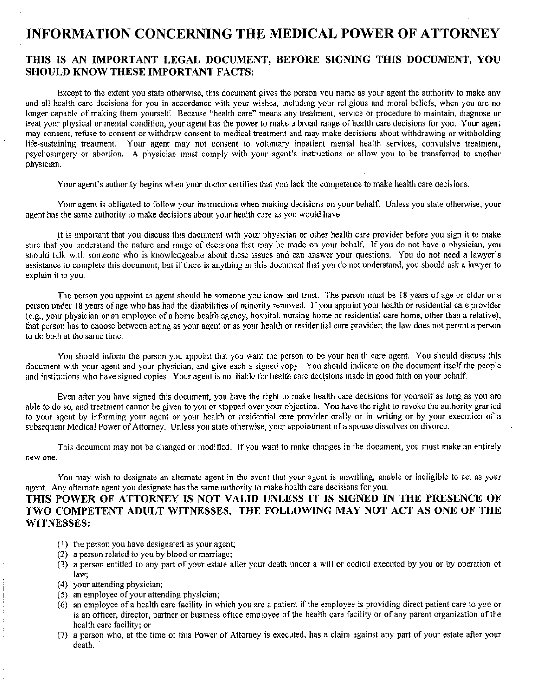# **INFORMATION CONCERNING THE MEDICAL POWER OF ATTORNEY**

## THIS IS AN IMPORTANT LEGAL DOCUMENT, BEFORE SIGNING THIS DOCUMENT, YOU **SHOULD KNOW THESE IMPORTANT FACTS:**

Except to the extent you state otherwise, this document gives the person you name as your agent the authority to make any and all health care decisions for you in accordance with your wishes, including your religious and moral beliefs, when you are no longer capable of making them yourself. Because "health care" means any treatment, service or procedure to maintain, diagnose or treat your physical or mental condition, your agent has the power to make a broad range of health care decisions for you. Your agent may consent, refuse to consent or withdraw consent to medical treatment and may make decisions about withdrawing or withholding life-sustaining treatment. Your agent may not consent to voluntary inpatient mental health services, convulsive treatment, psychosurgery or abortion. A physician must comply with your agent's instructions or allow you to be transferred to another physician.

Your agent's authority begins when your doctor certifies that you lack the competence to make health care decisions.

Your agent is obligated to follow your instructions when making decisions on your behalf. Unless you state otherwise, your agent has the same authority to make decisions about your health care as you would have.

It is important that you discuss this document with your physician or other health care provider before you sign it to make sure that you understand the nature and range of decisions that may be made on your behalf. If you do not have a physician, you should talk with someone who is knowledgeable about these issues and can answer your questions. You do not need a lawyer's assistance to complete this document, but if there is anything in this document that you do not understand, you should ask a lawyer to explain it to you.

The person you appoint as agent should be someone you know and trust. The person must be 18 years of age or older or a person under 18 years of age who has had the disabilities of minority removed. If you appoint your health or residential care provider (e.g., your physician or an employee of a home health agency, hospital, nursing home or residential care home, other than a relative), that person has to choose between acting as your agent or as your health or residential care provider; the law does not permit a person to do both at the same time.

You should inform the person you appoint that you want the person to be your health care agent. You should discuss this document with your agent and your physician, and give each a signed copy. You should indicate on the document itself the people and institutions who have signed copies. Your agent is not liable for health care decisions made in good faith on your behalf.

Even after you have signed this document, you have the right to make health care decisions for yourself as long as you are able to do so, and treatment cannot be given to you or stopped over your objection. You have the right to revoke the authority granted to your agent by informing your agent or your health or residential care provider orally or in writing or by your execution of a subsequent Medical Power of Attorney. Unless you state otherwise, your appointment of a spouse dissolves on divorce.

This document may not be changed or modified. If you want to make changes in the document, you must make an entirely new one.

You may wish to designate an alternate agent in the event that your agent is unwilling, unable or ineligible to act as your agent. Any alternate agent you designate has the same authority to make health care decisions for you.

## THIS POWER OF ATTORNEY IS NOT VALID UNLESS IT IS SIGNED IN THE PRESENCE OF TWO COMPETENT ADULT WITNESSES. THE FOLLOWING MAY NOT ACT AS ONE OF THE **WITNESSES:**

- (1) the person you have designated as your agent;
- (2) a person related to you by blood or marriage:
- (3) a person entitled to any part of your estate after your death under a will or codicil executed by you or by operation of law:
- (4) your attending physician;
- (5) an employee of your attending physician;
- (6) an employee of a health care facility in which you are a patient if the employee is providing direct patient care to you or is an officer, director, partner or business office employee of the health care facility or of any parent organization of the health care facility; or
- (7) a person who, at the time of this Power of Attorney is executed, has a claim against any part of your estate after your death.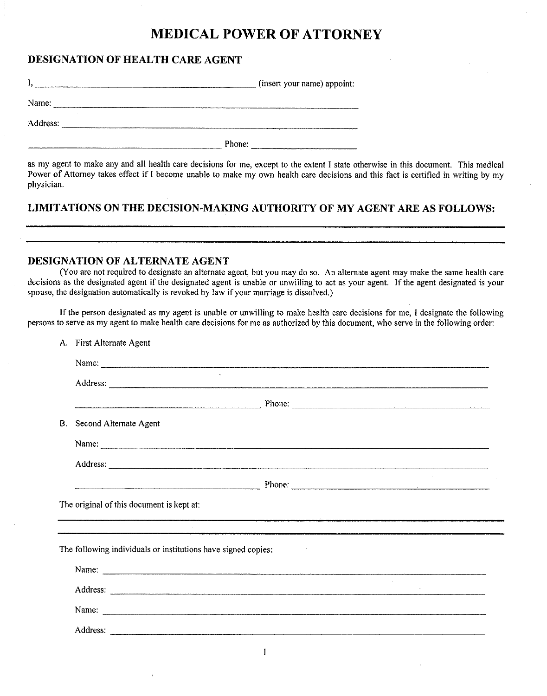# **MEDICAL POWER OF ATTORNEY**

### **DESIGNATION OF HEALTH CARE AGENT**

| ٠.       | (insert your name) appoint: |
|----------|-----------------------------|
| Name:    |                             |
| Address: |                             |
|          | Phone:                      |

as my agent to make any and all health care decisions for me, except to the extent I state otherwise in this document. This medical Power of Attorney takes effect if I become unable to make my own health care decisions and this fact is certified in writing by my physician.

## LIMITATIONS ON THE DECISION-MAKING AUTHORITY OF MY AGENT ARE AS FOLLOWS:

### DESIGNATION OF ALTERNATE AGENT

(You are not required to designate an alternate agent, but you may do so. An alternate agent may make the same health care decisions as the designated agent if the designated agent is unable or unwilling to act as your agent. If the agent designated is your spouse, the designation automatically is revoked by law if your marriage is dissolved.)

If the person designated as my agent is unable or unwilling to make health care decisions for me, I designate the following persons to serve as my agent to make health care decisions for me as authorized by this document, who serve in the following order:

|           | A. First Alternate Agent                                                                                                                                                                                                                                                               |  |
|-----------|----------------------------------------------------------------------------------------------------------------------------------------------------------------------------------------------------------------------------------------------------------------------------------------|--|
|           | Name: $\frac{1}{2}$                                                                                                                                                                                                                                                                    |  |
|           |                                                                                                                                                                                                                                                                                        |  |
|           | Phone: <u>Phone: Phone: Phone: Phone: Phone: Phone: Phone: Phone: Phone: Phone: Phone: Phone: Phone: Phone: Phone: Phone: Phone: Phone: Phone: Phone: Phone: Phone: Phone: Phone: Phone: Phone: Phone: Phone: Phone: Phone: Phon</u>                                                   |  |
| <b>B.</b> | Second Alternate Agent                                                                                                                                                                                                                                                                 |  |
|           | Name: Name: Name: Name: Name: Name: Name: Name: Name: Name: Name: Name: Name: Name: Name: Name: Name: Name: Name: Name: Name: Name: Name: Name: Name: Name: Name: Name: Name: Name: Name: Name: Name: Name: Name: Name: Name:                                                          |  |
|           |                                                                                                                                                                                                                                                                                        |  |
|           | <b>Example 2018</b> Phone: <b>Contract 2018</b> Phone: <b>Contract 2018</b> Phone: <b>Contract 2018</b> Phone: <b>Contract 2018</b> Phone: <b>Contract 2018</b> Phone: <b>Contract 2018</b> Phone: <b>Contract 2018</b> Phone: <b>Contract 2018</b> Phone: <b>Contract 2018</b>        |  |
|           | The original of this document is kept at:                                                                                                                                                                                                                                              |  |
|           | <u> 2000 - Samuel Samuel Barrison (b. 1950)</u>                                                                                                                                                                                                                                        |  |
|           | The following individuals or institutions have signed copies:                                                                                                                                                                                                                          |  |
|           | Name: 2008.000 million and 2008.000 million and 2008.000 million and 2008.000 million and 2008.000 million and 2008.000 million and 2008.000 million and 2008.000 million and 2008.000 million and 2008.000 million and 2008.0                                                         |  |
|           |                                                                                                                                                                                                                                                                                        |  |
|           | Name: $\frac{1}{2}$ Name: $\frac{1}{2}$ Name: $\frac{1}{2}$ Name: $\frac{1}{2}$ Name: $\frac{1}{2}$ Name: $\frac{1}{2}$ Name: $\frac{1}{2}$ Name: $\frac{1}{2}$ Name: $\frac{1}{2}$ Name: $\frac{1}{2}$ Name: $\frac{1}{2}$ Name: $\frac{1}{2}$ Name: $\frac{1}{2}$ Name: $\frac{1}{2$ |  |
|           |                                                                                                                                                                                                                                                                                        |  |